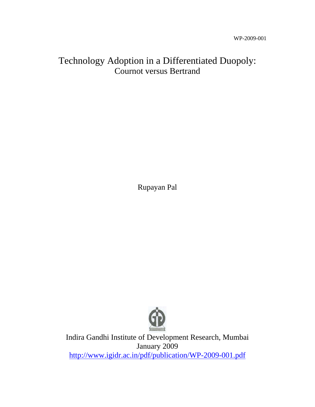## Technology Adoption in a Differentiated Duopoly: Cournot versus Bertrand

Rupayan Pal



Indira Gandhi Institute of Development Research, Mumbai January 2009 http://www.igidr.ac.in/pdf/publication/WP-2009-001.pdf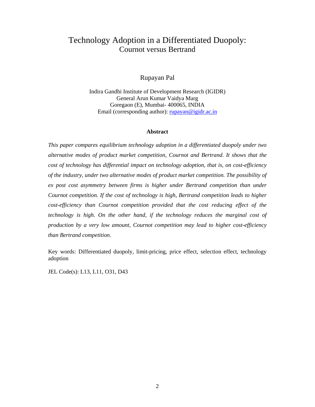# Technology Adoption in a Differentiated Duopoly: Cournot versus Bertrand

#### Rupayan Pal

Indira Gandhi Institute of Development Research (IGIDR) General Arun Kumar Vaidya Marg Goregaon (E), Mumbai- 400065, INDIA Email (corresponding author): <u>rupayan@igidr.ac.in</u>

#### **Abstract**

*This paper compares equilibrium technology adoption in a differentiated duopoly under two alternative modes of product market competition, Cournot and Bertrand. It shows that the cost of technology has differential impact on technology adoption, that is, on cost-efficiency of the industry, under two alternative modes of product market competition. The possibility of ex post cost asymmetry between firms is higher under Bertrand competition than under Cournot competition. If the cost of technology is high, Bertrand competition leads to higher cost-efficiency than Cournot competition provided that the cost reducing effect of the technology is high. On the other hand, if the technology reduces the marginal cost of production by a very low amount, Cournot competition may lead to higher cost-efficiency than Bertrand competition.* 

Key words: Differentiated duopoly, limit-pricing, price effect, selection effect, technology adoption

JEL Code(s): L13, L11, O31, D43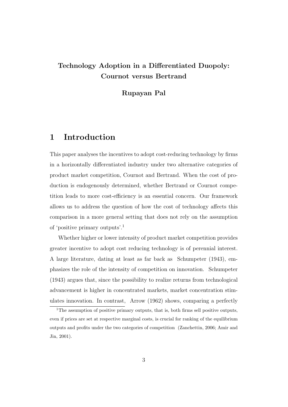#### Technology Adoption in a Differentiated Duopoly: Cournot versus Bertrand

Rupayan Pal

#### 1 Introduction

This paper analyses the incentives to adopt cost-reducing technology by firms in a horizontally differentiated industry under two alternative categories of product market competition, Cournot and Bertrand. When the cost of production is endogenously determined, whether Bertrand or Cournot competition leads to more cost-efficiency is an essential concern. Our framework allows us to address the question of how the cost of technology affects this comparison in a more general setting that does not rely on the assumption of 'positive primary outputs'.<sup>1</sup>

Whether higher or lower intensity of product market competition provides greater incentive to adopt cost reducing technology is of perennial interest. A large literature, dating at least as far back as Schumpeter (1943), emphasizes the role of the intensity of competition on innovation. Schumpeter (1943) argues that, since the possibility to realize returns from technological advancement is higher in concentrated markets, market concentration stimulates innovation. In contrast, Arrow (1962) shows, comparing a perfectly

<sup>&</sup>lt;sup>1</sup>The assumption of positive primary outputs, that is, both firms sell positive outputs, even if prices are set at respective marginal costs, is crucial for ranking of the equilibrium outputs and profits under the two categories of competition (Zanchettin, 2006; Amir and Jin, 2001).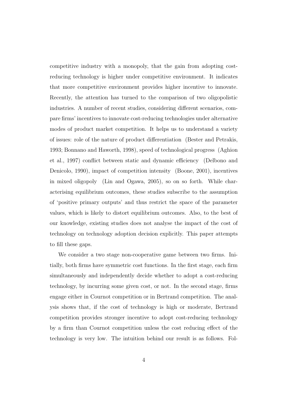competitive industry with a monopoly, that the gain from adopting costreducing technology is higher under competitive environment. It indicates that more competitive environment provides higher incentive to innovate. Recently, the attention has turned to the comparison of two oligopolistic industries. A number of recent studies, considering different scenarios, compare firms' incentives to innovate cost-reducing technologies under alternative modes of product market competition. It helps us to understand a variety of issues: role of the nature of product differentiation (Bester and Petrakis, 1993; Bonnano and Haworth, 1998), speed of technological progress (Aghion et al., 1997) conflict between static and dynamic efficiency (Delbono and Denicolo, 1990), impact of competition intensity (Boone, 2001), incentives in mixed oligopoly (Lin and Ogawa, 2005), so on so forth. While characterising equilibrium outcomes, these studies subscribe to the assumption of 'positive primary outputs' and thus restrict the space of the parameter values, which is likely to distort equilibrium outcomes. Also, to the best of our knowledge, existing studies does not analyse the impact of the cost of technology on technology adoption decision explicitly. This paper attempts to fill these gaps.

We consider a two stage non-cooperative game between two firms. Initially, both firms have symmetric cost functions. In the first stage, each firm simultaneously and independently decide whether to adopt a cost-reducing technology, by incurring some given cost, or not. In the second stage, firms engage either in Cournot competition or in Bertrand competition. The analysis shows that, if the cost of technology is high or moderate, Bertrand competition provides stronger incentive to adopt cost-reducing technology by a firm than Cournot competition unless the cost reducing effect of the technology is very low. The intuition behind our result is as follows. Fol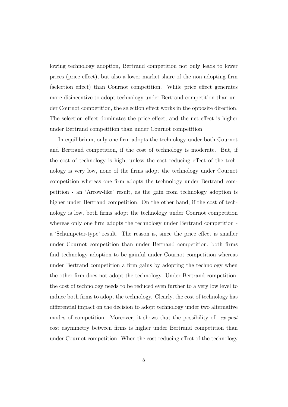lowing technology adoption, Bertrand competition not only leads to lower prices (price effect), but also a lower market share of the non-adopting firm (selection effect) than Cournot competition. While price effect generates more disincentive to adopt technology under Bertrand competition than under Cournot competition, the selection effect works in the opposite direction. The selection effect dominates the price effect, and the net effect is higher under Bertrand competition than under Cournot competition.

In equilibrium, only one firm adopts the technology under both Cournot and Bertrand competition, if the cost of technology is moderate. But, if the cost of technology is high, unless the cost reducing effect of the technology is very low, none of the firms adopt the technology under Cournot competition whereas one firm adopts the technology under Bertrand competition - an 'Arrow-like' result, as the gain from technology adoption is higher under Bertrand competition. On the other hand, if the cost of technology is low, both firms adopt the technology under Cournot competition whereas only one firm adopts the technology under Bertrand competition a 'Schumpeter-type' result. The reason is, since the price effect is smaller under Cournot competition than under Bertrand competition, both firms find technology adoption to be gainful under Cournot competition whereas under Bertrand competition a firm gains by adopting the technology when the other firm does not adopt the technology. Under Bertrand competition, the cost of technology needs to be reduced even further to a very low level to induce both firms to adopt the technology. Clearly, the cost of technology has differential impact on the decision to adopt technology under two alternative modes of competition. Moreover, it shows that the possibility of ex post cost asymmetry between firms is higher under Bertrand competition than under Cournot competition. When the cost reducing effect of the technology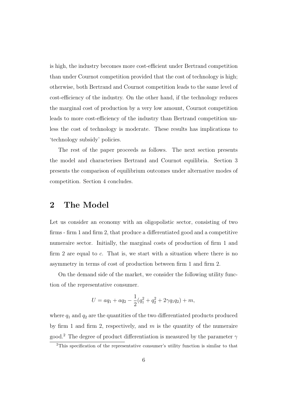is high, the industry becomes more cost-efficient under Bertrand competition than under Cournot competition provided that the cost of technology is high; otherwise, both Bertrand and Cournot competition leads to the same level of cost-efficiency of the industry. On the other hand, if the technology reduces the marginal cost of production by a very low amount, Cournot competition leads to more cost-efficiency of the industry than Bertrand competition unless the cost of technology is moderate. These results has implications to 'technology subsidy' policies.

The rest of the paper proceeds as follows. The next section presents the model and characterises Bertrand and Cournot equilibria. Section 3 presents the comparison of equilibrium outcomes under alternative modes of competition. Section 4 concludes.

#### 2 The Model

Let us consider an economy with an oligopolistic sector, consisting of two firms - firm 1 and firm 2, that produce a differentiated good and a competitive numeraire sector. Initially, the marginal costs of production of firm 1 and firm 2 are equal to c. That is, we start with a situation where there is no asymmetry in terms of cost of production between firm 1 and firm 2.

On the demand side of the market, we consider the following utility function of the representative consumer.

$$
U = aq_1 + aq_2 - \frac{1}{2}(q_1^2 + q_2^2 + 2\gamma q_1 q_2) + m,
$$

where  $q_1$  and  $q_2$  are the quantities of the two differentiated products produced by firm 1 and firm 2, respectively, and  $m$  is the quantity of the numeraire good.<sup>2</sup> The degree of product differentiation is measured by the parameter  $\gamma$ 

<sup>2</sup>This specification of the representative consumer's utility function is similar to that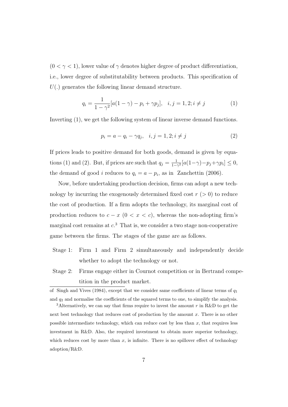$(0 < \gamma < 1)$ , lower value of  $\gamma$  denotes higher degree of product differentiation, i.e., lower degree of substitutability between products. This specification of  $U(.)$  generates the following linear demand structure.

$$
q_i = \frac{1}{1 - \gamma^2} [a(1 - \gamma) - p_i + \gamma p_j], \quad i, j = 1, 2; i \neq j \tag{1}
$$

Inverting (1), we get the following system of linear inverse demand functions.

$$
p_i = a - q_i - \gamma q_j, \quad i, j = 1, 2; i \neq j \tag{2}
$$

If prices leads to positive demand for both goods, demand is given by equations (1) and (2). But, if prices are such that  $q_j = \frac{1}{1-\gamma^2} [a(1-\gamma) - p_j + \gamma p_i] \leq 0$ , the demand of good *i* reduces to  $q_i = a - p_i$ , as in Zanchettin (2006).

Now, before undertaking production decision, firms can adopt a new technology by incurring the exogenously determined fixed cost  $r > 0$  to reduce the cost of production. If a firm adopts the technology, its marginal cost of production reduces to  $c - x$  (0 <  $x < c$ ), whereas the non-adopting firm's marginal cost remains at  $c<sup>3</sup>$ . That is, we consider a two stage non-cooperative game between the firms. The stages of the game are as follows.

- Stage 1: Firm 1 and Firm 2 simultaneously and independently decide whether to adopt the technology or not.
- Stage 2: Firms engage either in Cournot competition or in Bertrand competition in the product market.

of Singh and Vives (1984), except that we consider same coefficients of linear terms of  $q_1$ and  $q_2$  and normalise the coefficients of the squared terms to one, to simplify the analysis.

<sup>&</sup>lt;sup>3</sup>Alternatively, we can say that firms require to invest the amount r in R&D to get the next best technology that reduces cost of production by the amount  $x$ . There is no other possible intermediate technology, which can reduce cost by less than  $x$ , that requires less investment in R&D. Also, the required investment to obtain more superior technology, which reduces cost by more than  $x$ , is infinite. There is no spillover effect of technology adoption/R&D.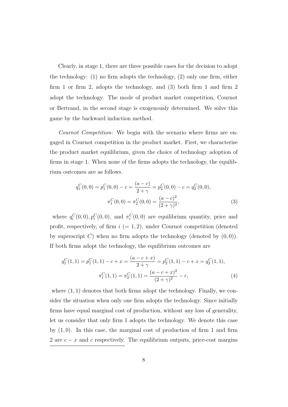Clearly, in stage 1, there are three possible cases for the decision to adopt the technology: (1) no firm adopts the technology, (2) only one firm, either firm 1 or firm 2, adopts the technology, and (3) both firm 1 and firm 2 adopt the technology. The mode of product market competition, Cournot or Bertrand, in the second stage is exogenously determined. We solve this game by the backward induction method.

Cournot Competition: We begin with the scenario where firms are engaged in Cournot competition in the product market. First, we characterise the product market equilibrium, given the choice of technology adoption of firms in stage 1. When none of the firms adopts the technology, the equilibrium outcomes are as follows.

$$
q_1^C(0,0) = p_1^C(0,0) - c = \frac{(a-c)}{2+\gamma} = p_2^C(0,0) - c = q_2^C(0,0),
$$

$$
\pi_1^C(0,0) = \pi_2^C(0,0) = \frac{(a-c)^2}{(2+\gamma)^2},
$$
(3)

where  $q_i^C(0,0), p_i^C(0,0)$ , and  $\pi_i^C(0,0)$  are equilibrium quantity, price and profit, respectively, of firm  $i (= 1, 2)$ , under Cournot competition (denoted by superscript C) when no firm adopts the technology (denoted by  $(0,0)$ ). If both firms adopt the technology, the equilibrium outcomes are

$$
q_1^C(1,1) = p_1^C(1,1) - c + x = \frac{(a-c+x)}{2+\gamma} = p_2^C(1,1) - c + x = q_2^C(1,1),
$$

$$
\pi_1^C(1,1) = \pi_2^C(1,1) = \frac{(a-c+x)^2}{(2+\gamma)^2} - r,
$$
(4)

where  $(1, 1)$  denotes that both firms adopt the technology. Finally, we consider the situation when only one firm adopts the technology. Since initially firms have equal marginal cost of production, without any loss of generality, let us consider that only firm 1 adopts the technology. We denote this case by  $(1, 0)$ . In this case, the marginal cost of production of firm 1 and firm 2 are  $c - x$  and c respectively. The equilibrium outputs, price-cost margins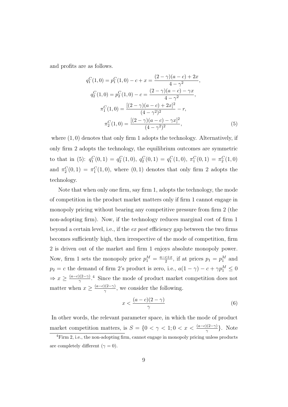and profits are as follows.

$$
q_1^C(1,0) = p_1^C(1,0) - c + x = \frac{(2-\gamma)(a-c) + 2x}{4-\gamma^2},
$$
  
\n
$$
q_2^C(1,0) = p_2^C(1,0) - c = \frac{(2-\gamma)(a-c) - \gamma x}{4-\gamma^2},
$$
  
\n
$$
\pi_1^C(1,0) = \frac{[(2-\gamma)(a-c) + 2x]^2}{(4-\gamma^2)^2} - r,
$$
  
\n
$$
\pi_2^C(1,0) = \frac{[(2-\gamma)(a-c) - \gamma x]^2}{(4-\gamma^2)^2},
$$
\n(5)

where  $(1,0)$  denotes that only firm 1 adopts the technology. Alternatively, if only firm 2 adopts the technology, the equilibrium outcomes are symmetric to that in (5):  $q_1^C(0,1) = q_2^C(1,0), q_2^C(0,1) = q_1^C(1,0), \pi_1^C(0,1) = \pi_2^C(1,0)$ and  $\pi_2^C(0,1) = \pi_1^C(1,0)$ , where  $(0,1)$  denotes that only firm 2 adopts the technology.

Note that when only one firm, say firm 1, adopts the technology, the mode of competition in the product market matters only if firm 1 cannot engage in monopoly pricing without bearing any competitive pressure from firm 2 (the non-adopting firm). Now, if the technology reduces marginal cost of firm 1 beyond a certain level, i.e., if the ex post efficiency gap between the two firms becomes sufficiently high, then irrespective of the mode of competition, firm 2 is driven out of the market and firm 1 enjoys absolute monopoly power. Now, firm 1 sets the monopoly price  $p_1^M = \frac{a-c+x}{2}$  $\frac{c+x}{2}$ , if at prices  $p_1 = p_1^M$  and  $p_2 = c$  the demand of firm 2's product is zero, i.e.,  $a(1 - \gamma) - c + \gamma p_1^M \leq 0$  $\Rightarrow x \geq \frac{(a-c)(2-\gamma)}{\gamma}$  $\frac{N(2-\gamma)}{\gamma}$ <sup>4</sup>. Since the mode of product market competition does not matter when  $x \geq \frac{(a-c)(2-\gamma)}{\gamma}$  $\frac{y(2-\gamma)}{\gamma}$ , we consider the following.

$$
x < \frac{(a-c)(2-\gamma)}{\gamma} \tag{6}
$$

In other words, the relevant parameter space, in which the mode of product market competition matters, is  $S = \{0 \le \gamma \le 1; 0 \le x \le \frac{(a-c)(2-\gamma)}{\gamma}\}.$  Note

<sup>&</sup>lt;sup>4</sup>Firm 2, i.e., the non-adopting firm, cannot engage in monopoly pricing unless products are completely different  $(\gamma = 0)$ .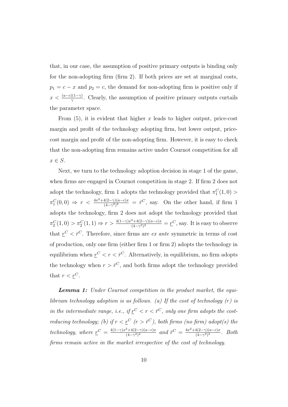that, in our case, the assumption of positive primary outputs is binding only for the non-adopting firm (firm 2). If both prices are set at marginal costs,  $p_1 = c - x$  and  $p_2 = c$ , the demand for non-adopting firm is positive only if  $x < \frac{(a-c)(1-\gamma)}{\gamma}$ . Clearly, the assumption of positive primary outputs curtails the parameter space.

From  $(5)$ , it is evident that higher x leads to higher output, price-cost margin and profit of the technology adopting firm, but lower output, pricecost margin and profit of the non-adopting firm. However, it is easy to check that the non-adopting firm remains active under Cournot competition for all  $x \in S$ .

Next, we turn to the technology adoption decision in stage 1 of the game, when firms are engaged in Cournot competition in stage 2. If firm 2 does not adopt the technology, firm 1 adopts the technology provided that  $\pi_1^C(1,0)$  $\pi_1^C(0,0) \Rightarrow r < \frac{4x^2 + 4(2-\gamma)(a-c)x}{(4-\gamma^2)^2}$  $\frac{4(2-\gamma)(a-c)x}{(4-\gamma^2)^2} = \bar{r}^C$ , say. On the other hand, if firm 1 adopts the technology, firm 2 does not adopt the technology provided that  $\pi_2^C(1,0) > \pi_2^C(1,1) \Rightarrow r > \frac{4(1-\gamma)x^2 + 4(2-\gamma)(a-c)x}{(4-\gamma^2)^2}$  $\frac{1}{(4-\gamma^2)^2} = \underline{r}^C$ , say. It is easy to observe that  $r^C < \bar{r}^C$ . Therefore, since firms are ex ante symmetric in terms of cost of production, only one firm (either firm 1 or firm 2) adopts the technology in equilibrium when  $r^C < r < \bar{r}^C$ . Alternatively, in equilibrium, no firm adopts the technology when  $r > \bar{r}^C$ , and both firms adopt the technology provided that  $r < r^C$ .

**Lemma 1:** Under Cournot competition in the product market, the equilibrium technology adoption is as follows. (a) If the cost of technology  $(r)$  is in the intermediate range, i.e., if  $r^C < r < \bar{r}^C$ , only one firm adopts the costreducing technology; (b) if  $r < \underline{r}^C$  ( $r > \overline{r}^C$ ), both firms (no firm) adopt(s) the technology, where  $\underline{r}^C = \frac{4(1-\gamma)x^2 + 4(2-\gamma)(a-c)x}{(4-\gamma^2)x^2}$  $\frac{a^2+4(2-\gamma)(a-c)x}{(4-\gamma^2)^2}$  and  $\bar{r}^C = \frac{4x^2+4(2-\gamma)(a-c)x}{(4-\gamma^2)^2}$  $\frac{4(2-\gamma)(a-c)x}{(4-\gamma^2)^2}$ . Both firms remain active in the market irrespective of the cost of technology.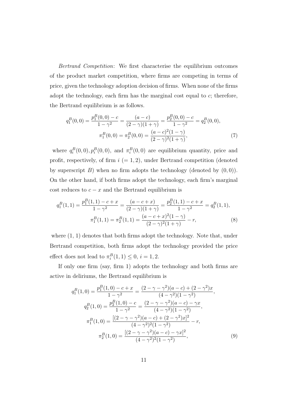Bertrand Competition: We first characterise the equilibrium outcomes of the product market competition, where firms are competing in terms of price, given the technology adoption decision of firms. When none of the firms adopt the technology, each firm has the marginal cost equal to  $c$ ; therefore, the Bertrand equilibrium is as follows.

$$
q_1^B(0,0) = \frac{p_1^B(0,0) - c}{1 - \gamma^2} = \frac{(a - c)}{(2 - \gamma)(1 + \gamma)} = \frac{p_2^B(0,0) - c}{1 - \gamma^2} = q_2^B(0,0),
$$

$$
\pi_1^B(0,0) = \pi_2^B(0,0) = \frac{(a - c)^2(1 - \gamma)}{(2 - \gamma)^2(1 + \gamma)},
$$
(7)

where  $q_i^B(0,0), p_i^B(0,0)$ , and  $\pi_i^B(0,0)$  are equilibrium quantity, price and profit, respectively, of firm  $i (= 1, 2)$ , under Bertrand competition (denoted by superscript B) when no firm adopts the technology (denoted by  $(0,0)$ ). On the other hand, if both firms adopt the technology, each firm's marginal cost reduces to  $c - x$  and the Bertrand equilibrium is

$$
q_1^B(1,1) = \frac{p_1^B(1,1) - c + x}{1 - \gamma^2} = \frac{(a - c + x)}{(2 - \gamma)(1 + \gamma)} = \frac{p_2^B(1,1) - c + x}{1 - \gamma^2} = q_2^B(1,1),
$$

$$
\pi_1^B(1,1) = \pi_2^B(1,1) = \frac{(a - c + x)^2(1 - \gamma)}{(2 - \gamma)^2(1 + \gamma)} - r,
$$
(8)

where  $(1, 1)$  denotes that both firms adopt the technology. Note that, under Bertrand competition, both firms adopt the technology provided the price effect does not lead to  $\pi_i^B(1,1) \leq 0$ ,  $i = 1,2$ .

If only one firm (say, firm 1) adopts the technology and both firms are active in deliriums, the Bertrand equilibrium is

$$
q_1^B(1,0) = \frac{p_1^B(1,0) - c + x}{1 - \gamma^2} = \frac{(2 - \gamma - \gamma^2)(a - c) + (2 - \gamma^2)x}{(4 - \gamma^2)(1 - \gamma^2)},
$$
  
\n
$$
q_2^B(1,0) = \frac{p_2^B(1,0) - c}{1 - \gamma^2} = \frac{(2 - \gamma - \gamma^2)(a - c) - \gamma x}{(4 - \gamma^2)(1 - \gamma^2)},
$$
  
\n
$$
\pi_1^B(1,0) = \frac{[(2 - \gamma - \gamma^2)(a - c) + (2 - \gamma^2)x]^2}{(4 - \gamma^2)^2(1 - \gamma^2)} - r,
$$
  
\n
$$
\pi_2^B(1,0) = \frac{[(2 - \gamma - \gamma^2)(a - c) - \gamma x]^2}{(4 - \gamma^2)^2(1 - \gamma^2)},
$$
\n(9)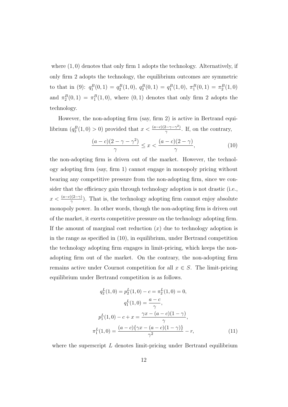where  $(1, 0)$  denotes that only firm 1 adopts the technology. Alternatively, if only firm 2 adopts the technology, the equilibrium outcomes are symmetric to that in (9):  $q_1^B(0,1) = q_2^B(1,0), q_2^B(0,1) = q_1^B(1,0), \pi_1^B(0,1) = \pi_2^B(1,0)$ and  $\pi_2^B(0,1) = \pi_1^B(1,0)$ , where  $(0,1)$  denotes that only firm 2 adopts the technology.

However, the non-adopting firm (say, firm 2) is active in Bertrand equilibrium  $(q_2^B(1,0) > 0)$  provided that  $x < \frac{(a-c)(2-\gamma-\gamma^2)}{\gamma}$  $\frac{q_2-\gamma-\gamma^2}{\gamma}$ . If, on the contrary,

$$
\frac{(a-c)(2-\gamma-\gamma^2)}{\gamma} \le x < \frac{(a-c)(2-\gamma)}{\gamma},\tag{10}
$$

the non-adopting firm is driven out of the market. However, the technology adopting firm (say, firm 1) cannot engage in monopoly pricing without bearing any competitive pressure from the non-adopting firm, since we consider that the efficiency gain through technology adoption is not drastic (i.e.,  $x < \frac{(a-c)(2-\gamma)}{\gamma}$ ). That is, the technology adopting firm cannot enjoy absolute monopoly power. In other words, though the non-adopting firm is driven out of the market, it exerts competitive pressure on the technology adopting firm. If the amount of marginal cost reduction  $(x)$  due to technology adoption is in the range as specified in (10), in equilibrium, under Bertrand competition the technology adopting firm engages in limit-pricing, which keeps the nonadopting firm out of the market. On the contrary, the non-adopting firm remains active under Cournot competition for all  $x \in S$ . The limit-pricing equilibrium under Bertrand competition is as follows.

$$
q_2^L(1,0) = p_2^L(1,0) - c = \pi_2^L(1,0) = 0,
$$
  
\n
$$
q_1^L(1,0) = \frac{a-c}{\gamma},
$$
  
\n
$$
p_1^L(1,0) - c + x = \frac{\gamma x - (a-c)(1-\gamma)}{\gamma},
$$
  
\n
$$
\pi_1^L(1,0) = \frac{(a-c)\{\gamma x - (a-c)(1-\gamma)\}}{\gamma^2} - r,
$$
\n(11)

where the superscript  $L$  denotes limit-pricing under Bertrand equilibrium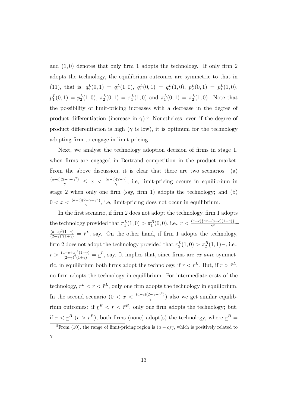and  $(1,0)$  denotes that only firm 1 adopts the technology. If only firm 2 adopts the technology, the equilibrium outcomes are symmetric to that in (11), that is,  $q_2^L(0,1) = q_1^L(1,0), q_1^L(0,1) = q_2^L(1,0), p_2^L(0,1) = p_1^L(1,0),$  $p_1^L(0,1) = p_2^L(1,0), \pi_2^L(0,1) = \pi_1^L(1,0)$  and  $\pi_1^L(0,1) = \pi_2^L(1,0)$ . Note that the possibility of limit-pricing increases with a decrease in the degree of product differentiation (increase in  $\gamma$ ).<sup>5</sup> Nonetheless, even if the degree of product differentiation is high ( $\gamma$  is low), it is optimum for the technology adopting firm to engage in limit-pricing.

Next, we analyse the technology adoption decision of firms in stage 1, when firms are engaged in Bertrand competition in the product market. From the above discussion, it is clear that there are two scenarios: (a)  $\frac{(a-c)(2-\gamma-\gamma^2)}{\gamma} \leq x < \frac{(a-c)(2-\gamma)}{\gamma}$ , i.e, limit-pricing occurs in equilibrium in stage 2 when only one firm (say, firm 1) adopts the technology; and (b)  $0 < x < \frac{(a-c)(2-\gamma-\gamma^2)}{\gamma}$  $\frac{q_2-\gamma-\gamma}{\gamma}$ , i.e, limit-pricing does not occur in equilibrium.

In the first scenario, if firm 2 does not adopt the technology, firm 1 adopts the technology provided that  $\pi_1^L(1,0) > \pi_1^B(0,0)$ , i.e.,  $r < \frac{(a-c)\{\gamma x - (a-c)(1-\gamma)\}}{\gamma^2}$  $(a-c)^2(1-\gamma)$  $\frac{(a-c)^2(1-\gamma)}{(2-\gamma)^2(1+\gamma)} = \bar{r}^L$ , say. On the other hand, if firm 1 adopts the technology, firm 2 does not adopt the technology provided that  $\pi_2^L(1,0) > \pi_2^B(1,1)$ -, i.e.,  $r > \frac{(a-c+x)^2(1-\gamma)}{(2-\gamma)^2(1+\gamma)}$  $\frac{(n-k+1)^2(1-\gamma)}{(2-\gamma)^2(1+\gamma)} = \underline{r}^L$ , say. It implies that, since firms are *ex ante* symmetric, in equilibrium both firms adopt the technology, if  $r < \underline{r}^L$ . But, if  $r > \overline{r}^L$ , no firm adopts the technology in equilibrium. For intermediate costs of the technology,  $r^L < r < \bar{r}^L$ , only one firm adopts the technology in equilibrium. In the second scenario  $(0 < x < \frac{(a-c)(2-\gamma-\gamma^2)}{2})$  $\frac{q_2(\gamma - \gamma^2)}{\gamma}$ ) also we get similar equilibrium outcomes: if  $r^B < r < \bar{r}^B$ , only one firm adopts the technology; but, if  $r < \underline{r}^B$   $(r > \overline{r}^B)$ , both firms (none) adopt(s) the technology, where  $\underline{r}^B =$ 

<sup>&</sup>lt;sup>5</sup>From (10), the range of limit-pricing region is  $(a - c)\gamma$ , which is positively related to  $γ$ .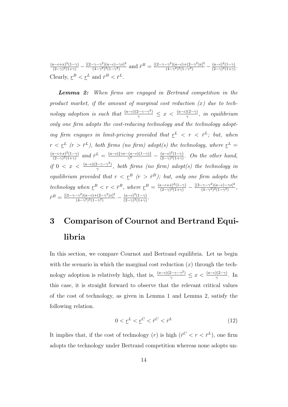$(a-c+x)^2(1-\gamma)$  $\frac{(a-c+x)^2(1-\gamma)}{(2-\gamma)^2(1+\gamma)} - \frac{[(2-\gamma-\gamma^2)(a-c)-\gamma x]^2}{(4-\gamma^2)^2(1-\gamma^2)}$  $\frac{(-\gamma - \gamma^2)(a-c) - \gamma x]^2}{(4-\gamma^2)^2(1-\gamma^2)}$  and  $\bar{r}^B = \frac{[(2-\gamma - \gamma^2)(a-c)+(2-\gamma^2)x]^2}{(4-\gamma^2)^2(1-\gamma^2)}$  $\frac{(-\gamma^2)(a-c)+(2-\gamma^2)x]^2}{(4-\gamma^2)^2(1-\gamma^2)} - \frac{(a-c)^2(1-\gamma)}{(2-\gamma)^2(1+\gamma)}$  $\frac{(a-c)^2(1-\gamma)}{(2-\gamma)^2(1+\gamma)}$ . Clearly,  $r^B < r^L$  and  $\bar{r}^B < \bar{r}^L$ .

Lemma 2: When firms are engaged in Bertrand competition in the product market, if the amount of marginal cost reduction  $(x)$  due to technology adoption is such that  $\frac{(a-c)(2-\gamma-\gamma^2)}{\gamma} \leq x < \frac{(a-c)(2-\gamma)}{\gamma}$ , in equilibrium only one firm adopts the cost-reducing technology and the technology adopting firm engages in limit-pricing provided that  $r^L$  <  $r$  <  $\bar{r}^L$ ; but, when  $r < \underline{r}^L$  ( $r > \bar{r}^L$ ), both firms (no firm) adopt(s) the technology, where  $\underline{r}^L =$  $(a-c+x)^2(1-\gamma)$  $\frac{(a-c+x)^2(1-\gamma)}{(2-\gamma)^2(1+\gamma)}$  and  $\bar{r}^L = \frac{(a-c)\{\gamma x-(a-c)(1-\gamma)\}}{\gamma^2}$  $\frac{(a-c)(1-\gamma)}{\gamma^2} - \frac{(a-c)^2(1-\gamma)}{(2-\gamma)^2(1+\gamma)}$  $\frac{(a-c)^{2}(1-\gamma)}{(2-\gamma)^{2}(1+\gamma)}$ . On the other hand, if  $0 < x < \frac{(a-c)(2-\gamma-\gamma^2)}{\gamma}$  $\frac{f(z-\gamma-\gamma^2)}{\gamma}$ , both firms (no firm) adopt(s) the technology in equilibrium provided that  $r < r^B$  ( $r > \bar{r}^B$ ); but, only one firm adopts the technology when  $\underline{r}^B < r < \overline{r}^B$ , where  $\underline{r}^B = \frac{(a-c+x)^2(1-\gamma)}{(2-\gamma)(2(1+\gamma))}$  $\frac{(2-\gamma)^2(1-\gamma)}{(2-\gamma)^2(1+\gamma)} - \frac{[(2-\gamma-\gamma^2)(a-c)-\gamma x]^2}{(4-\gamma^2)^2(1-\gamma^2)}$  $\frac{(-\gamma - \gamma^2)(a-c) - \gamma x]^2}{(4-\gamma^2)^2(1-\gamma^2)},$  $\bar{r}^B = \frac{[(2-\gamma-\gamma^2)(a-c)+(2-\gamma^2)x]^2}{(4-\gamma^2)^2(1-\gamma^2)}$  $\frac{(-\gamma^2)(a-c)+(2-\gamma^2)x]^2}{(4-\gamma^2)^2(1-\gamma^2)} - \frac{(a-c)^2(1-\gamma)}{(2-\gamma)^2(1+\gamma)}$  $\frac{(a-c)^2(1-\gamma)}{(2-\gamma)^2(1+\gamma)}$ .

# 3 Comparison of Cournot and Bertrand Equilibria

In this section, we compare Cournot and Bertrand equilibria. Let us begin with the scenario in which the marginal cost reduction  $(x)$  through the technology adoption is relatively high, that is,  $\frac{(a-c)(2-\gamma-\gamma^2)}{\gamma} \leq x < \frac{(a-c)(2-\gamma)}{\gamma}$ . In this case, it is straight forward to observe that the relevant critical values of the cost of technology, as given in Lemma 1 and Lemma 2, satisfy the following relation.

$$
0 < \underline{r}^L < \underline{r}^C < \bar{r}^C < \bar{r}^L \tag{12}
$$

It implies that, if the cost of technology  $(r)$  is high  $(\bar{r}^C < r < \bar{r}^L)$ , one firm adopts the technology under Bertrand competition whereas none adopts un-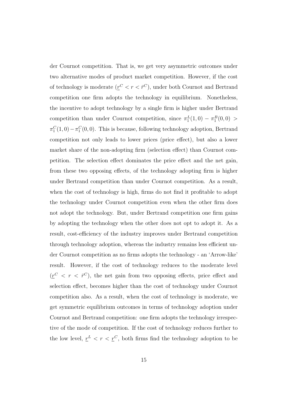der Cournot competition. That is, we get very asymmetric outcomes under two alternative modes of product market competition. However, if the cost of technology is moderate  $(\underline{r}^C < r < \overline{r}^C)$ , under both Cournot and Bertrand competition one firm adopts the technology in equilibrium. Nonetheless, the incentive to adopt technology by a single firm is higher under Bertrand competition than under Cournot competition, since  $\pi_1^L(1,0) - \pi_1^B(0,0)$  $\pi_1^C(1,0) - \pi_1^C(0,0)$ . This is because, following technology adoption, Bertrand competition not only leads to lower prices (price effect), but also a lower market share of the non-adopting firm (selection effect) than Cournot competition. The selection effect dominates the price effect and the net gain, from these two opposing effects, of the technology adopting firm is higher under Bertrand competition than under Cournot competition. As a result, when the cost of technology is high, firms do not find it profitable to adopt the technology under Cournot competition even when the other firm does not adopt the technology. But, under Bertrand competition one firm gains by adopting the technology when the other does not opt to adopt it. As a result, cost-efficiency of the industry improves under Bertrand competition through technology adoption, whereas the industry remains less efficient under Cournot competition as no firms adopts the technology - an 'Arrow-like' result. However, if the cost of technology reduces to the moderate level  $(\underline{r}^C < r < \overline{r}^C)$ , the net gain from two opposing effects, price effect and selection effect, becomes higher than the cost of technology under Cournot competition also. As a result, when the cost of technology is moderate, we get symmetric equilibrium outcomes in terms of technology adoption under Cournot and Bertrand competition: one firm adopts the technology irrespective of the mode of competition. If the cost of technology reduces further to the low level,  $r^L < r < r^C$ , both firms find the technology adoption to be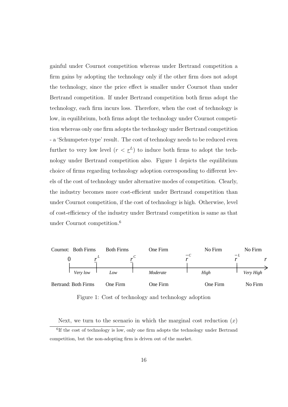gainful under Cournot competition whereas under Bertrand competition a firm gains by adopting the technology only if the other firm does not adopt the technology, since the price effect is smaller under Cournot than under Bertrand competition. If under Bertrand competition both firms adopt the technology, each firm incurs loss. Therefore, when the cost of technology is low, in equilibrium, both firms adopt the technology under Cournot competition whereas only one firm adopts the technology under Bertrand competition - a 'Schumpeter-type' result. The cost of technology needs to be reduced even further to very low level  $(r < r^L)$  to induce both firms to adopt the technology under Bertrand competition also. Figure 1 depicts the equilibrium choice of firms regarding technology adoption corresponding to different levels of the cost of technology under alternative modes of competition. Clearly, the industry becomes more cost-efficient under Bertrand competition than under Cournot competition, if the cost of technology is high. Otherwise, level of cost-efficiency of the industry under Bertrand competition is same as that under Cournot competition.<sup>6</sup>



Figure 1: Cost of technology and technology adoption

Next, we turn to the scenario in which the marginal cost reduction  $(x)$ 

<sup>&</sup>lt;sup>6</sup>If the cost of technology is low, only one firm adopts the technology under Bertrand competition, but the non-adopting firm is driven out of the market.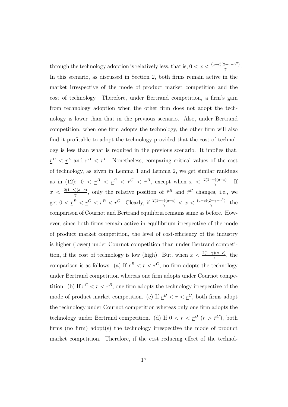through the technology adoption is relatively less, that is,  $0 < x < \frac{(a-c)(2-\gamma-\gamma^2)}{2\gamma}$  $\frac{2-\gamma-\gamma^2)}{\gamma}.$ In this scenario, as discussed in Section 2, both firms remain active in the market irrespective of the mode of product market competition and the cost of technology. Therefore, under Bertrand competition, a firm's gain from technology adoption when the other firm does not adopt the technology is lower than that in the previous scenario. Also, under Bertrand competition, when one firm adopts the technology, the other firm will also find it profitable to adopt the technology provided that the cost of technology is less than what is required in the previous scenario. It implies that,  $r^{B} < r^{L}$  and  $\bar{r}^{B} < \bar{r}^{L}$ . Nonetheless, comparing critical values of the cost of technology, as given in Lemma 1 and Lemma 2, we get similar rankings as in (12):  $0 < \underline{r}^B < \underline{r}^C < \overline{r}^C < \overline{r}^B$ , except when  $x < \frac{2(1-\gamma)(a-c)}{\gamma}$ . If  $x < \frac{2(1-\gamma)(a-c)}{\gamma}$ , only the relative position of  $\bar{r}^B$  and  $\bar{r}^C$  changes, i.e., we get  $0 < \underline{r}^B < \underline{r}^C < \overline{r}^B < \overline{r}^C$ . Clearly, if  $\frac{2(1-\gamma)(a-c)}{\gamma} < x < \frac{(a-c)(2-\gamma-\gamma^2)}{\gamma}$  $\frac{2-\gamma-\gamma}{\gamma}$ , the comparison of Cournot and Bertrand equilibria remains same as before. However, since both firms remain active in equilibrium irrespective of the mode of product market competition, the level of cost-efficiency of the industry is higher (lower) under Cournot competition than under Bertrand competition, if the cost of technology is low (high). But, when  $x < \frac{2(1-\gamma)(a-c)}{\gamma}$ , the comparison is as follows. (a) If  $\bar{r}^B < r < \bar{r}^C$ , no firm adopts the technology under Bertrand competition whereas one firm adopts under Cournot competition. (b) If  $r^C < r < \bar{r}^B$ , one firm adopts the technology irrespective of the mode of product market competition. (c) If  $r^B < r < r^C$ , both firms adopt the technology under Cournot competition whereas only one firm adopts the technology under Bertrand competition. (d) If  $0 < r < \underline{r}^B$   $(r > \overline{r}^C)$ , both firms (no firm) adopt(s) the technology irrespective the mode of product market competition. Therefore, if the cost reducing effect of the technol-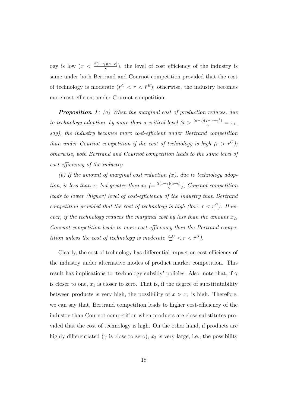ogy is low  $(x < \frac{2(1-\gamma)(a-c)}{\gamma})$ , the level of cost efficiency of the industry is same under both Bertrand and Cournot competition provided that the cost of technology is moderate  $(r^C < r < \bar{r}^B)$ ; otherwise, the industry becomes more cost-efficient under Cournot competition.

**Proposition 1**: (a) When the marginal cost of production reduces, due to technology adoption, by more than a critical level  $(x > \frac{(a-c)(2-\gamma-\gamma^2)}{\gamma} = x_1$ , say), the industry becomes more cost-efficient under Bertrand competition than under Cournot competition if the cost of technology is high  $(r > \bar{r}^C)$ ; otherwise, both Bertrand and Cournot competition leads to the same level of cost-efficiency of the industry.

(b) If the amount of marginal cost reduction  $(x)$ , due to technology adoption, is less than  $x_1$  but greater than  $x_2$  (=  $\frac{2(1-\gamma)(a-c)}{\gamma}$  $\frac{\gamma(2a-c)}{\gamma}$ ), Cournot competition leads to lower (higher) level of cost-efficiency of the industry than Bertrand competition provided that the cost of technology is high (low:  $r < \underline{r}^C$ ). However, if the technology reduces the marginal cost by less than the amount  $x_2$ , Cournot competition leads to more cost-efficiency than the Bertrand competition unless the cost of technology is moderate  $(r^C < r < \bar{r}^B)$ .

Clearly, the cost of technology has differential impact on cost-efficiency of the industry under alternative modes of product market competition. This result has implications to 'technology subsidy' policies. Also, note that, if  $\gamma$ is closer to one,  $x_1$  is closer to zero. That is, if the degree of substitutability between products is very high, the possibility of  $x > x_1$  is high. Therefore, we can say that, Bertrand competition leads to higher cost-efficiency of the industry than Cournot competition when products are close substitutes provided that the cost of technology is high. On the other hand, if products are highly differentiated ( $\gamma$  is close to zero),  $x_2$  is very large, i.e., the possibility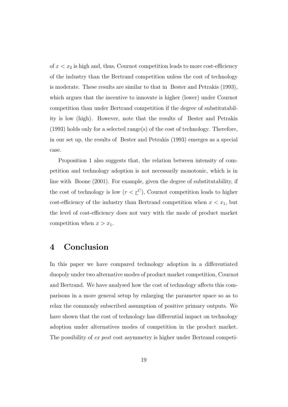of  $x < x_2$  is high and, thus, Cournot competition leads to more cost-efficiency of the industry than the Bertrand competition unless the cost of technology is moderate. These results are similar to that in Bester and Petrakis (1993), which argues that the incentive to innovate is higher (lower) under Cournot competition than under Bertrand competition if the degree of substitutability is low (high). However, note that the results of Bester and Petrakis (1993) holds only for a selected range(s) of the cost of technology. Therefore, in our set up, the results of Bester and Petrakis (1993) emerges as a special case.

Proposition 1 also suggests that, the relation between intensity of competition and technology adoption is not necessarily monotonic, which is in line with Boone (2001). For example, given the degree of substitutability, if the cost of technology is low  $(r < \underline{r}^C)$ , Cournot competition leads to higher cost-efficiency of the industry than Bertrand competition when  $x < x_1$ , but the level of cost-efficiency does not vary with the mode of product market competition when  $x > x_1$ .

#### 4 Conclusion

In this paper we have compared technology adoption in a differentiated duopoly under two alternative modes of product market competition, Cournot and Bertrand. We have analysed how the cost of technology affects this comparisons in a more general setup by enlarging the parameter space so as to relax the commonly subscribed assumption of positive primary outputs. We have shown that the cost of technology has differential impact on technology adoption under alternatives modes of competition in the product market. The possibility of ex post cost asymmetry is higher under Bertrand competi-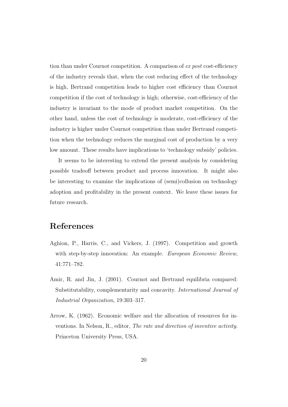tion than under Cournot competition. A comparison of ex post cost-efficiency of the industry reveals that, when the cost reducing effect of the technology is high, Bertrand competition leads to higher cost efficiency than Cournot competition if the cost of technology is high; otherwise, cost-efficiency of the industry is invariant to the mode of product market competition. On the other hand, unless the cost of technology is moderate, cost-efficiency of the industry is higher under Cournot competition than under Bertrand competition when the technology reduces the marginal cost of production by a very low amount. These results have implications to 'technology subsidy' policies.

It seems to be interesting to extend the present analysis by considering possible tradeoff between product and process innovation. It might also be interesting to examine the implications of (semi)collusion on technology adoption and profitability in the present context. We leave these issues for future research.

### References

- Aghion, P., Harris, C., and Vickers, J. (1997). Competition and growth with step-by-step innovation: An example. *European Economic Review*, 41:771–782.
- Amir, R. and Jin, J. (2001). Cournot and Bertrand equilibria compared: Substitutability, complementarity and concavity. International Journal of Industrial Organization, 19:303–317.
- Arrow, K. (1962). Economic welfare and the allocation of resources for inventions. In Nelson, R., editor, The rate and direction of inventive activity. Princeton University Press, USA.